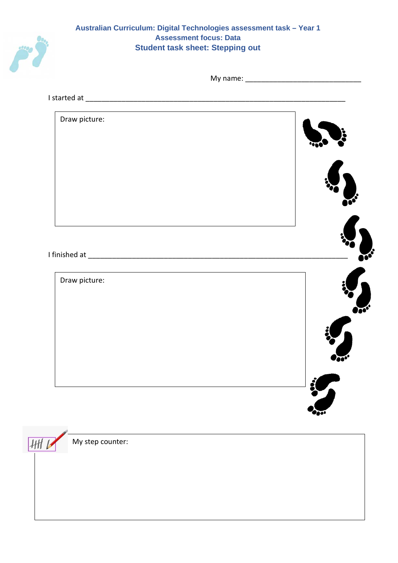

## **Australian Curriculum: Digital Technologies assessment task – Year 1 Assessment focus: Data Student task sheet: Stepping out**

My name: \_\_\_\_\_\_\_\_\_\_\_\_\_\_\_\_\_\_\_\_\_\_\_\_\_\_\_\_\_

I started at \_\_\_\_\_\_\_\_\_\_\_\_\_\_\_\_\_\_\_\_\_\_\_\_\_\_\_\_\_\_\_\_\_\_\_\_\_\_\_\_\_\_\_\_\_\_\_\_\_\_\_\_\_\_\_\_\_\_\_\_\_\_\_\_\_



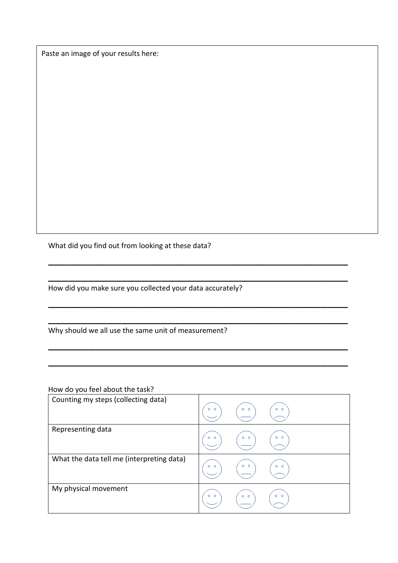Paste an image of your results here:

What did you find out from looking at these data?

How did you make sure you collected your data accurately?

Why should we all use the same unit of measurement?

How do you feel about the task?

| Counting my steps (collecting data)       | $\circ$ $\circ$ $\circ$<br>$O$ $O$<br>$\circ\hspace{0.15cm}\circ$ |
|-------------------------------------------|-------------------------------------------------------------------|
| Representing data                         | $\circ$ o $\backslash$<br>$\circ$ $\circ$<br>$O$ $O$              |
| What the data tell me (interpreting data) | $\circ$ $\circ$<br>$O$ $O$<br>$\circ$ $\circ$                     |
| My physical movement                      | $\circ \circ$<br>$\circ$ $\circ$                                  |

\_\_\_\_\_\_\_\_\_\_\_\_\_\_\_\_\_\_\_\_\_\_\_\_\_\_\_\_\_\_\_\_\_\_\_\_\_\_\_\_\_\_\_\_\_

\_\_\_\_\_\_\_\_\_\_\_\_\_\_\_\_\_\_\_\_\_\_\_\_\_\_\_\_\_\_\_\_\_\_\_\_\_\_\_\_\_\_\_\_\_

\_\_\_\_\_\_\_\_\_\_\_\_\_\_\_\_\_\_\_\_\_\_\_\_\_\_\_\_\_\_\_\_\_\_\_\_\_\_\_\_\_\_\_\_\_

\_\_\_\_\_\_\_\_\_\_\_\_\_\_\_\_\_\_\_\_\_\_\_\_\_\_\_\_\_\_\_\_\_\_\_\_\_\_\_\_\_\_\_\_\_

\_\_\_\_\_\_\_\_\_\_\_\_\_\_\_\_\_\_\_\_\_\_\_\_\_\_\_\_\_\_\_\_\_\_\_\_\_\_\_\_\_\_\_\_\_

\_\_\_\_\_\_\_\_\_\_\_\_\_\_\_\_\_\_\_\_\_\_\_\_\_\_\_\_\_\_\_\_\_\_\_\_\_\_\_\_\_\_\_\_\_